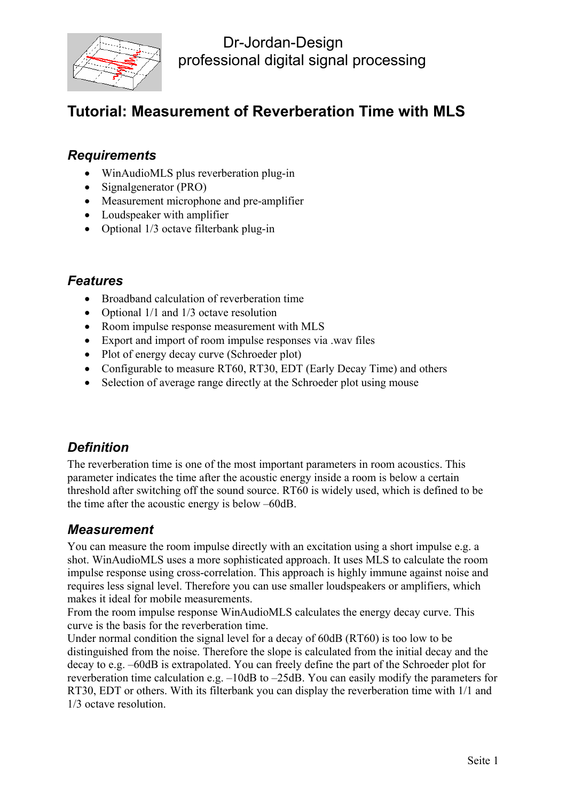

# **Tutorial: Measurement of Reverberation Time with MLS**

#### *Requirements*

- WinAudioMLS plus reverberation plug-in
- Signalgenerator (PRO)
- Measurement microphone and pre-amplifier
- Loudspeaker with amplifier
- Optional 1/3 octave filterbank plug-in

#### *Features*

- Broadband calculation of reverberation time
- Optional 1/1 and 1/3 octave resolution
- Room impulse response measurement with MLS
- Export and import of room impulse responses via .wav files
- Plot of energy decay curve (Schroeder plot)
- Configurable to measure RT60, RT30, EDT (Early Decay Time) and others
- Selection of average range directly at the Schroeder plot using mouse

#### *Definition*

The reverberation time is one of the most important parameters in room acoustics. This parameter indicates the time after the acoustic energy inside a room is below a certain threshold after switching off the sound source. RT60 is widely used, which is defined to be the time after the acoustic energy is below –60dB.

#### *Measurement*

You can measure the room impulse directly with an excitation using a short impulse e.g. a shot. WinAudioMLS uses a more sophisticated approach. It uses MLS to calculate the room impulse response using cross-correlation. This approach is highly immune against noise and requires less signal level. Therefore you can use smaller loudspeakers or amplifiers, which makes it ideal for mobile measurements.

From the room impulse response WinAudioMLS calculates the energy decay curve. This curve is the basis for the reverberation time.

Under normal condition the signal level for a decay of 60dB (RT60) is too low to be distinguished from the noise. Therefore the slope is calculated from the initial decay and the decay to e.g. –60dB is extrapolated. You can freely define the part of the Schroeder plot for reverberation time calculation e.g. –10dB to –25dB. You can easily modify the parameters for RT30, EDT or others. With its filterbank you can display the reverberation time with 1/1 and 1/3 octave resolution.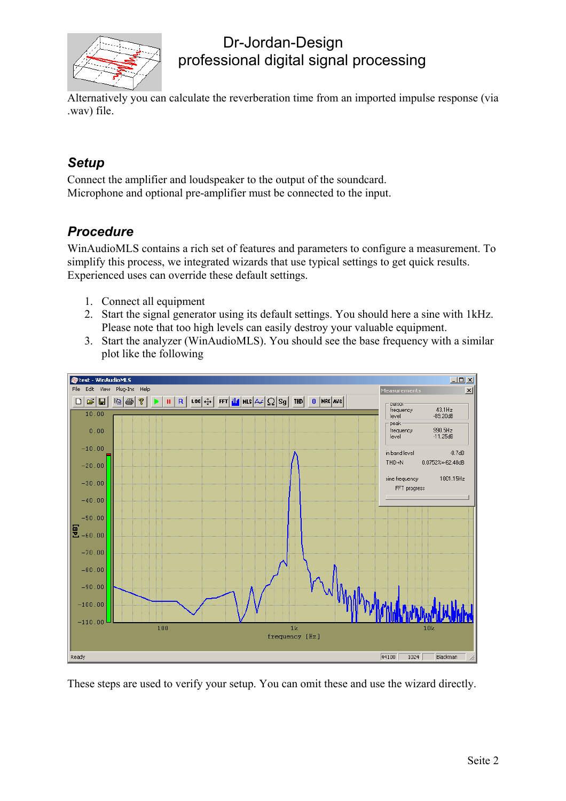

Alternatively you can calculate the reverberation time from an imported impulse response (via .wav) file.

### *Setup*

Connect the amplifier and loudspeaker to the output of the soundcard. Microphone and optional pre-amplifier must be connected to the input.

### *Procedure*

WinAudioMLS contains a rich set of features and parameters to configure a measurement. To simplify this process, we integrated wizards that use typical settings to get quick results. Experienced uses can override these default settings.

- 1. Connect all equipment
- 2. Start the signal generator using its default settings. You should here a sine with 1kHz. Please note that too high levels can easily destroy your valuable equipment.
- 3. Start the analyzer (WinAudioMLS). You should see the base frequency with a similar plot like the following



These steps are used to verify your setup. You can omit these and use the wizard directly.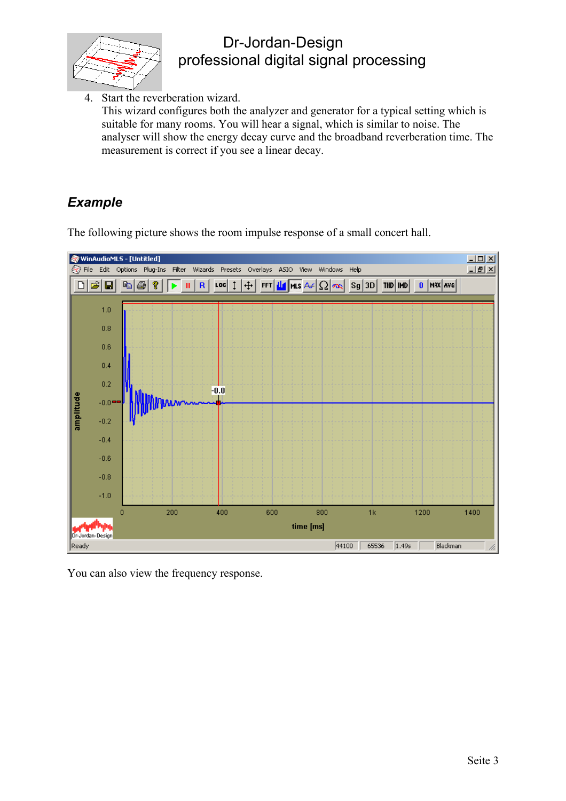

4. Start the reverberation wizard. This wizard configures both the analyzer and generator for a typical setting which is

suitable for many rooms. You will hear a signal, which is similar to noise. The analyser will show the energy decay curve and the broadband reverberation time. The measurement is correct if you see a linear decay.

## *Example*

The following picture shows the room impulse response of a small concert hall.



You can also view the frequency response.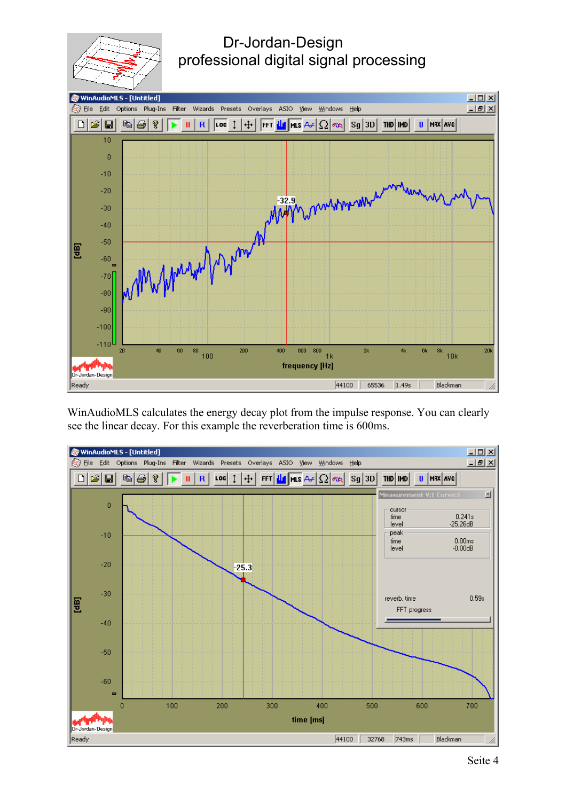



WinAudioMLS calculates the energy decay plot from the impulse response. You can clearly see the linear decay. For this example the reverberation time is 600ms.

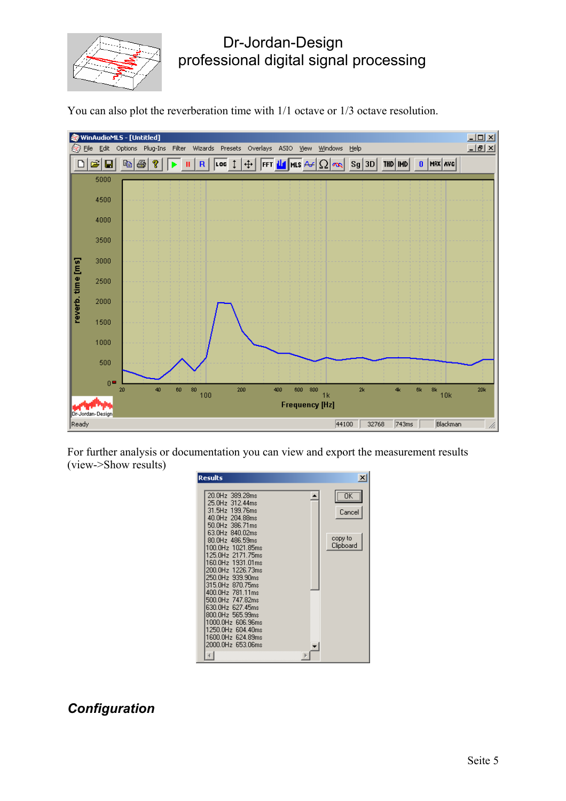

You can also plot the reverberation time with 1/1 octave or 1/3 octave resolution.



For further analysis or documentation you can view and export the measurement results (view->Show results)

| <b>Results</b>                                                                                                                                                                                                                                                                                                                                                                                               | $\vert x \vert$                       |
|--------------------------------------------------------------------------------------------------------------------------------------------------------------------------------------------------------------------------------------------------------------------------------------------------------------------------------------------------------------------------------------------------------------|---------------------------------------|
| 20.0Hz 389.28ms<br>25.0Hz 312.44ms<br>31.5Hz 199.76ms<br>40.0Hz 204.88ms<br>50.0Hz 386.71ms<br>63.0Hz 840.02ms<br>80.0Hz 486.59ms<br>100.0Hz 1021.85ms<br>125 NH <sub>Z</sub><br>2171.75ms<br>160.0Hz<br>1931.01ms<br>200.0Hz<br>1226.73ms<br>250.0Hz 939.90ms<br>315.0Hz 870.75ms<br>400.0Hz 781.11ms<br>500.0Hz 747.82ms<br>630.0Hz 627.45ms<br>800.0Hz 565.99ms<br>1000.0Hz 606.96ms<br>1250.0Hz 604.40ms | ¨öΚ<br>Cancel<br>copy to<br>Clipboard |
| 1600.0Hz 624.89ms<br>2000.0Hz 653.06ms                                                                                                                                                                                                                                                                                                                                                                       |                                       |

### *Configuration*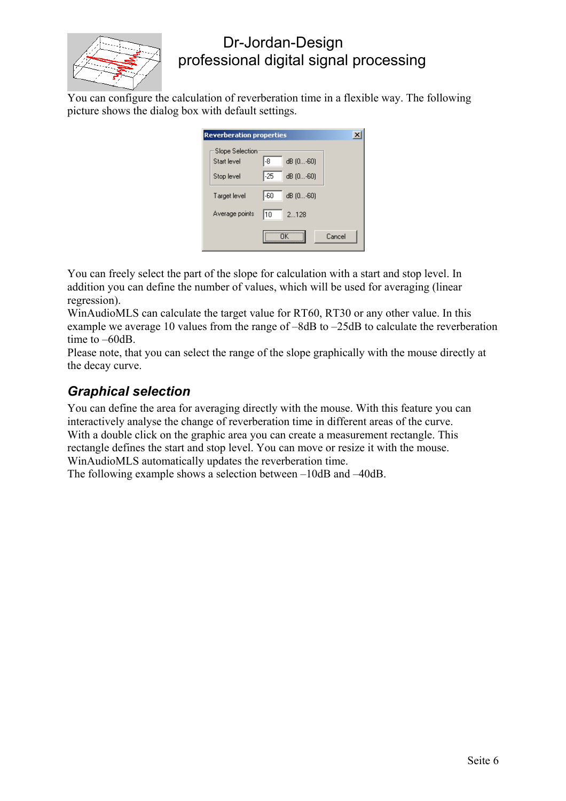

You can configure the calculation of reverberation time in a flexible way. The following picture shows the dialog box with default settings.

| <b>Reverberation properties</b> |                                      |        |  |  |  |  |  |
|---------------------------------|--------------------------------------|--------|--|--|--|--|--|
| Slope Selection<br>Start level  | l-8<br>dB (0-60)                     |        |  |  |  |  |  |
| Stop level<br>Target level      | -25<br>dB (0-60)<br>1.60<br>dB [060] |        |  |  |  |  |  |
| Average points                  | 2128<br>110                          |        |  |  |  |  |  |
|                                 | ΠK                                   | Cancel |  |  |  |  |  |

You can freely select the part of the slope for calculation with a start and stop level. In addition you can define the number of values, which will be used for averaging (linear regression).

WinAudioMLS can calculate the target value for RT60, RT30 or any other value. In this example we average 10 values from the range of –8dB to –25dB to calculate the reverberation time to –60dB.

Please note, that you can select the range of the slope graphically with the mouse directly at the decay curve.

### *Graphical selection*

You can define the area for averaging directly with the mouse. With this feature you can interactively analyse the change of reverberation time in different areas of the curve. With a double click on the graphic area you can create a measurement rectangle. This rectangle defines the start and stop level. You can move or resize it with the mouse. WinAudioMLS automatically updates the reverberation time.

The following example shows a selection between –10dB and –40dB.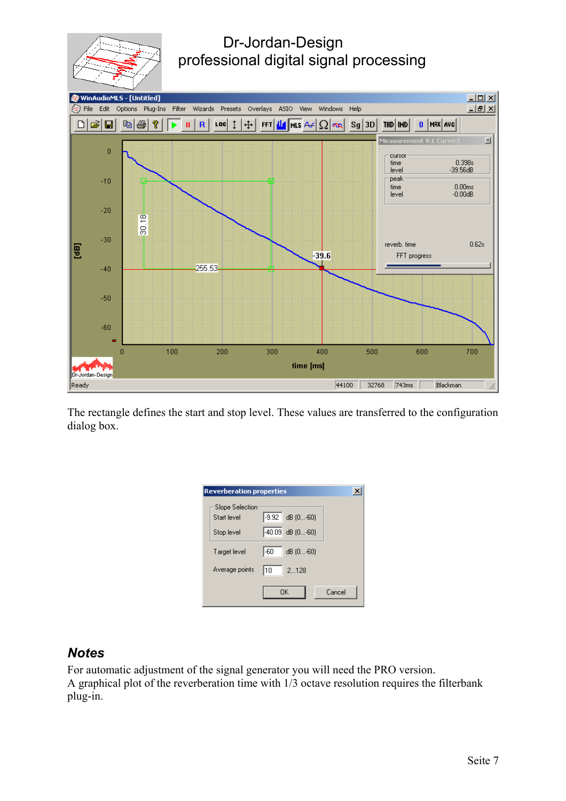



The rectangle defines the start and stop level. These values are transferred to the configuration dialog box.

| <b>Reverberation properties</b>              |         |                                  |  |        |  |  |  |
|----------------------------------------------|---------|----------------------------------|--|--------|--|--|--|
| Slope Selection<br>Start level<br>Stop level | $-.992$ | dB (0-60)<br>$-40.09$ dB $(060)$ |  |        |  |  |  |
| Target level                                 | 1-60    | $dB$ $(060)$                     |  |        |  |  |  |
| Average points                               | 110     | 2128                             |  |        |  |  |  |
|                                              |         | <b>OK</b>                        |  | Cancel |  |  |  |

#### *Notes*

For automatic adjustment of the signal generator you will need the PRO version. A graphical plot of the reverberation time with 1/3 octave resolution requires the filterbank plug-in.